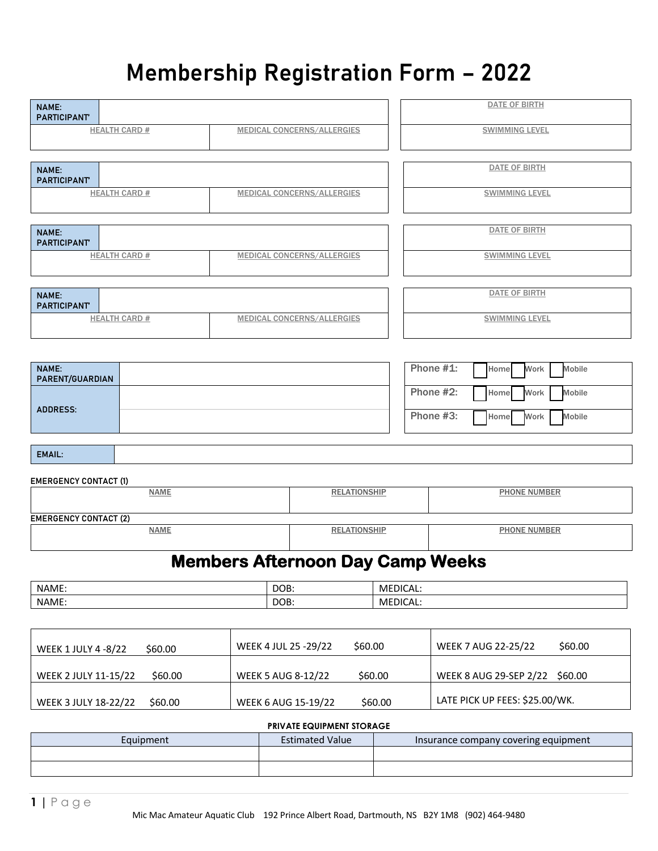# **Membership Registration Form – 2022**

| <b>NAME:</b><br><b>PARTICIPANT</b>                      |                                         |                                           | DATE OF BIRTH                       |  |  |  |
|---------------------------------------------------------|-----------------------------------------|-------------------------------------------|-------------------------------------|--|--|--|
| <b>HEALTH CARD #</b>                                    | <b>MEDICAL CONCERNS/ALLERGIES</b>       |                                           | <b>SWIMMING LEVEL</b>               |  |  |  |
|                                                         |                                         |                                           |                                     |  |  |  |
| <b>NAME:</b><br><b>PARTICIPANT</b>                      |                                         |                                           | <b>DATE OF BIRTH</b>                |  |  |  |
| <b>HEALTH CARD #</b>                                    | <b>MEDICAL CONCERNS/ALLERGIES</b>       |                                           | <b>SWIMMING LEVEL</b>               |  |  |  |
| <b>NAME:</b>                                            |                                         |                                           | DATE OF BIRTH                       |  |  |  |
| <b>PARTICIPANT</b><br><b>HEALTH CARD #</b>              | <b>MEDICAL CONCERNS/ALLERGIES</b>       |                                           | <b>SWIMMING LEVEL</b>               |  |  |  |
|                                                         |                                         |                                           |                                     |  |  |  |
| <b>NAME:</b><br><b>PARTICIPANT</b>                      |                                         |                                           | DATE OF BIRTH                       |  |  |  |
| <b>HEALTH CARD #</b>                                    | <b>MEDICAL CONCERNS/ALLERGIES</b>       |                                           | <b>SWIMMING LEVEL</b>               |  |  |  |
|                                                         |                                         |                                           |                                     |  |  |  |
| <b>NAME:</b><br><b>PARENT/GUARDIAN</b>                  |                                         |                                           | Phone #1:<br>Mobile<br>Work<br>Home |  |  |  |
| <b>ADDRESS:</b>                                         |                                         |                                           | Phone #2:<br>Mobile<br>Home<br>Work |  |  |  |
|                                                         |                                         |                                           | Phone #3:<br>Mobile<br>Home<br>Work |  |  |  |
| <b>EMAIL:</b>                                           |                                         |                                           |                                     |  |  |  |
| <b>EMERGENCY CONTACT (1)</b>                            |                                         |                                           |                                     |  |  |  |
| <b>NAME</b>                                             |                                         | <b>RELATIONSHIP</b>                       | <b>PHONE NUMBER</b>                 |  |  |  |
| <b>EMERGENCY CONTACT (2)</b>                            |                                         |                                           |                                     |  |  |  |
| <b>NAME</b>                                             |                                         | <b>RELATIONSHIP</b>                       | <b>PHONE NUMBER</b>                 |  |  |  |
|                                                         | <b>Members Afternoon Day Camp Weeks</b> |                                           |                                     |  |  |  |
| NAME:                                                   | DOB:                                    | MEDICAL:                                  |                                     |  |  |  |
| NAME:                                                   | DOB:                                    | MEDICAL:                                  |                                     |  |  |  |
|                                                         |                                         |                                           |                                     |  |  |  |
| WEEK 4 JUL 25 - 29/22<br>\$60.00<br>WEEK 1 JULY 4 -8/22 |                                         | \$60.00                                   | \$60.00<br>WEEK 7 AUG 22-25/22      |  |  |  |
| \$60.00<br>WEEK 2 JULY 11-15/22                         | <b>WEEK 5 AUG 8-12/22</b>               | \$60.00                                   | WEEK 8 AUG 29-SEP 2/22<br>\$60.00   |  |  |  |
| \$60.00<br>WEEK 3 JULY 18-22/22                         | <b>WEEK 6 AUG 15-19/22</b>              | LATE PICK UP FEES: \$25.00/WK.<br>\$60.00 |                                     |  |  |  |
|                                                         |                                         | PRIVATE EQUIPMENT STORAGE                 |                                     |  |  |  |

# Equipment **Estimated Value** Insurance company covering equipment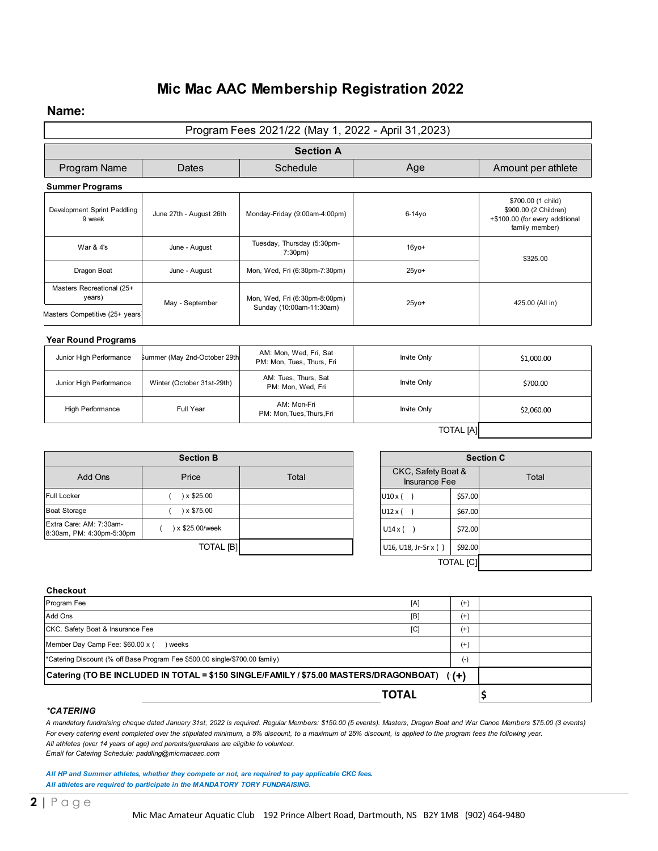# **Mic Mac AAC Membership Registration 2022**

#### **Name:**

|                                                         |                              | Program Fees 2021/22 (May 1, 2022 - April 31,2023)        |             |                                            |                  |                                                                                                  |  |
|---------------------------------------------------------|------------------------------|-----------------------------------------------------------|-------------|--------------------------------------------|------------------|--------------------------------------------------------------------------------------------------|--|
|                                                         |                              | <b>Section A</b>                                          |             |                                            |                  |                                                                                                  |  |
| Program Name<br>Dates                                   |                              | Schedule                                                  | Age         |                                            |                  | Amount per athlete                                                                               |  |
| <b>Summer Programs</b>                                  |                              |                                                           |             |                                            |                  |                                                                                                  |  |
| Development Sprint Paddling<br>9 week                   | June 27th - August 26th      | Monday-Friday (9:00am-4:00pm)                             |             | $6-14y$ o                                  |                  | \$700.00 (1 child)<br>\$900.00 (2 Children)<br>+\$100.00 (for every additional<br>family member) |  |
| War & 4's                                               | June - August                | Tuesday, Thursday (5:30pm-<br>7:30 <sub>pm</sub>          |             | $16$ vo+                                   |                  | \$325.00                                                                                         |  |
| Dragon Boat                                             | June - August                | Mon, Wed, Fri (6:30pm-7:30pm)                             |             | $25yo+$                                    |                  |                                                                                                  |  |
| Masters Recreational (25+<br>years)                     | May - September              | Mon, Wed, Fri (6:30pm-8:00pm)<br>Sunday (10:00am-11:30am) |             | $25y$ o+                                   |                  | 425.00 (All in)                                                                                  |  |
| Masters Competitive (25+ years                          |                              |                                                           |             |                                            |                  |                                                                                                  |  |
| <b>Year Round Programs</b>                              |                              |                                                           |             |                                            |                  |                                                                                                  |  |
| Junior High Performance<br>Summer (May 2nd-October 29th |                              | AM: Mon, Wed, Fri, Sat<br>PM: Mon, Tues, Thurs, Fri       |             | Invite Only                                |                  | \$1,000.00                                                                                       |  |
| Junior High Performance                                 | Winter (October 31st-29th)   | AM: Tues, Thurs, Sat<br>PM: Mon, Wed, Fri                 |             | Invite Only                                |                  | \$700.00                                                                                         |  |
| High Performance                                        | Full Year                    | AM: Mon-Fri<br>PM: Mon, Tues, Thurs, Fri                  | Invite Only |                                            |                  | \$2,060.00                                                                                       |  |
|                                                         |                              |                                                           |             |                                            | <b>TOTAL</b> [A] |                                                                                                  |  |
|                                                         | <b>Section B</b>             |                                                           |             |                                            |                  | <b>Section C</b>                                                                                 |  |
| Add Ons                                                 | Price                        | Total                                                     |             | CKC, Safety Boat &<br><b>Insurance Fee</b> |                  | Total                                                                                            |  |
| <b>Full Locker</b>                                      | )x \$25.00                   |                                                           |             | U10x()                                     | \$57.00          |                                                                                                  |  |
| <b>Boat Storage</b>                                     | )x \$75.00<br>$\overline{ }$ |                                                           |             | U12x()                                     | \$67.00          |                                                                                                  |  |
| Extra Care: AM: 7:30am-<br>8:30am, PM: 4:30pm-5:30pm    | ) x \$25.00/week<br>(        |                                                           |             | U14x()                                     | \$72.00          |                                                                                                  |  |
|                                                         | <b>TOTAL [B]</b>             |                                                           |             | U16, U18, Jr-Sr x ()                       | \$92.00          |                                                                                                  |  |
|                                                         |                              |                                                           |             |                                            | <b>TOTAL</b> [C] |                                                                                                  |  |
| Checkout                                                |                              |                                                           |             |                                            |                  |                                                                                                  |  |
| Program Fee                                             |                              |                                                           |             | [A]                                        | $^{(+)}$         |                                                                                                  |  |
| Add Ons                                                 |                              |                                                           |             | [B]                                        | $^{(+)}$         |                                                                                                  |  |
| CKC, Safety Boat & Insurance Fee                        |                              |                                                           |             | [C]                                        | $(+)$            |                                                                                                  |  |

| TOTAL                                                                                      |          |  |
|--------------------------------------------------------------------------------------------|----------|--|
| Catering (TO BE INCLUDED IN TOTAL = \$150 SINGLE/FAMILY / \$75.00 MASTERS/DRAGONBOAT) ((+) |          |  |
| *Catering Discount (% off Base Program Fee \$500.00 single/\$700.00 family)                | $( - )$  |  |
| Member Day Camp Fee: \$60.00 x (<br>) weeks                                                | $^{(+)}$ |  |
| CKC, Safety Boat & Insurance Fee<br>[C]                                                    | $^{(+)}$ |  |

#### *\*CATERING*

*A mandatory fundraising cheque dated January 31st, 2022 is required. Regular Members: \$150.00 (5 events). Masters, Dragon Boat and War Canoe Members \$75.00 (3 events) For every catering event completed over the stipulated minimum, a 5% discount, to a maximum of 25% discount, is applied to the program fees the following year. All athletes (over 14 years of age) and parents/guardians are eligible to volunteer. Email for Catering Schedule: paddling@micmacaac.com*

*All HP and Summer athletes, whether they compete or not, are required to pay applicable CKC fees. All athletes are required to participate in the MANDATORY fundraising - TBA TORY FUNDRAISING.*